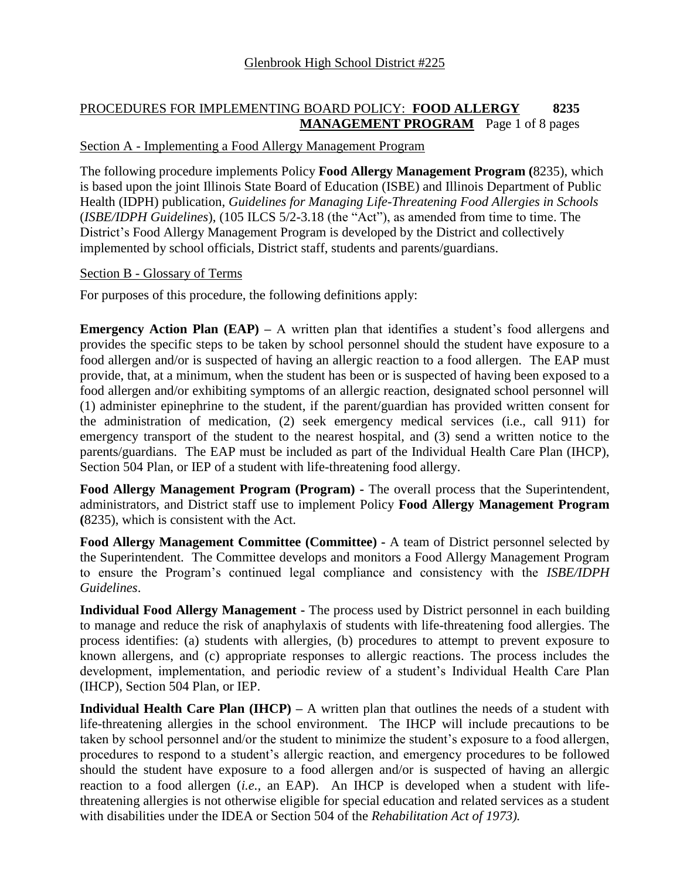#### PROCEDURES FOR IMPLEMENTING BOARD POLICY: **FOOD ALLERGY 8235 MANAGEMENT PROGRAM** Page 1 of 8 pages

## Section A - Implementing a Food Allergy Management Program

The following procedure implements Policy **Food Allergy Management Program (**8235), which is based upon the joint Illinois State Board of Education (ISBE) and Illinois Department of Public Health (IDPH) publication, *Guidelines for Managing Life-Threatening Food Allergies in Schools* (*ISBE/IDPH Guidelines*), (105 ILCS 5/2-3.18 (the "Act"), as amended from time to time. The District's Food Allergy Management Program is developed by the District and collectively implemented by school officials, District staff, students and parents/guardians.

#### Section B - Glossary of Terms

For purposes of this procedure, the following definitions apply:

**Emergency Action Plan (EAP) – A written plan that identifies a student's food allergens and** provides the specific steps to be taken by school personnel should the student have exposure to a food allergen and/or is suspected of having an allergic reaction to a food allergen. The EAP must provide, that, at a minimum, when the student has been or is suspected of having been exposed to a food allergen and/or exhibiting symptoms of an allergic reaction, designated school personnel will (1) administer epinephrine to the student, if the parent/guardian has provided written consent for the administration of medication, (2) seek emergency medical services (i.e., call 911) for emergency transport of the student to the nearest hospital, and (3) send a written notice to the parents/guardians. The EAP must be included as part of the Individual Health Care Plan (IHCP), Section 504 Plan, or IEP of a student with life-threatening food allergy.

**Food Allergy Management Program (Program) -** The overall process that the Superintendent, administrators, and District staff use to implement Policy **Food Allergy Management Program (**8235), which is consistent with the Act.

**Food Allergy Management Committee (Committee) -** A team of District personnel selected by the Superintendent. The Committee develops and monitors a Food Allergy Management Program to ensure the Program's continued legal compliance and consistency with the *ISBE/IDPH Guidelines*.

**Individual Food Allergy Management -** The process used by District personnel in each building to manage and reduce the risk of anaphylaxis of students with life-threatening food allergies. The process identifies: (a) students with allergies, (b) procedures to attempt to prevent exposure to known allergens, and (c) appropriate responses to allergic reactions. The process includes the development, implementation, and periodic review of a student's Individual Health Care Plan (IHCP), Section 504 Plan, or IEP.

**Individual Health Care Plan (IHCP)** – A written plan that outlines the needs of a student with life-threatening allergies in the school environment. The IHCP will include precautions to be taken by school personnel and/or the student to minimize the student's exposure to a food allergen, procedures to respond to a student's allergic reaction, and emergency procedures to be followed should the student have exposure to a food allergen and/or is suspected of having an allergic reaction to a food allergen (*i.e.,* an EAP). An IHCP is developed when a student with lifethreatening allergies is not otherwise eligible for special education and related services as a student with disabilities under the IDEA or Section 504 of the *Rehabilitation Act of 1973).*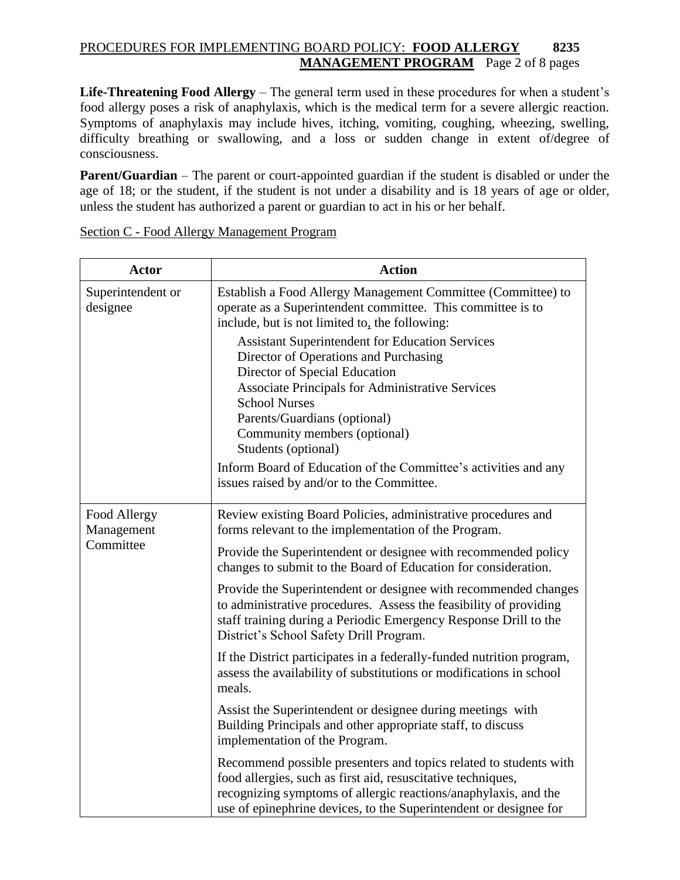# PROCEDURES FOR IMPLEMENTING BOARD POLICY: **FOOD ALLERGY 8235 MANAGEMENT PROGRAM** Page 2 of 8 pages

Life-Threatening Food Allergy – The general term used in these procedures for when a student's food allergy poses a risk of anaphylaxis, which is the medical term for a severe allergic reaction. Symptoms of anaphylaxis may include hives, itching, vomiting, coughing, wheezing, swelling, difficulty breathing or swallowing, and a loss or sudden change in extent of/degree of consciousness.

**Parent/Guardian** – The parent or court-appointed guardian if the student is disabled or under the age of 18; or the student, if the student is not under a disability and is 18 years of age or older, unless the student has authorized a parent or guardian to act in his or her behalf.

| <b>Actor</b>                            | <b>Action</b>                                                                                                                                                                                                                                                                                              |
|-----------------------------------------|------------------------------------------------------------------------------------------------------------------------------------------------------------------------------------------------------------------------------------------------------------------------------------------------------------|
| Superintendent or<br>designee           | Establish a Food Allergy Management Committee (Committee) to<br>operate as a Superintendent committee. This committee is to<br>include, but is not limited to, the following:                                                                                                                              |
|                                         | <b>Assistant Superintendent for Education Services</b><br>Director of Operations and Purchasing<br>Director of Special Education<br><b>Associate Principals for Administrative Services</b><br><b>School Nurses</b><br>Parents/Guardians (optional)<br>Community members (optional)<br>Students (optional) |
|                                         | Inform Board of Education of the Committee's activities and any<br>issues raised by and/or to the Committee.                                                                                                                                                                                               |
| Food Allergy<br>Management<br>Committee | Review existing Board Policies, administrative procedures and<br>forms relevant to the implementation of the Program.                                                                                                                                                                                      |
|                                         | Provide the Superintendent or designee with recommended policy<br>changes to submit to the Board of Education for consideration.                                                                                                                                                                           |
|                                         | Provide the Superintendent or designee with recommended changes<br>to administrative procedures. Assess the feasibility of providing<br>staff training during a Periodic Emergency Response Drill to the<br>District's School Safety Drill Program.                                                        |
|                                         | If the District participates in a federally-funded nutrition program,<br>assess the availability of substitutions or modifications in school<br>meals.                                                                                                                                                     |
|                                         | Assist the Superintendent or designee during meetings with<br>Building Principals and other appropriate staff, to discuss<br>implementation of the Program.                                                                                                                                                |
|                                         | Recommend possible presenters and topics related to students with<br>food allergies, such as first aid, resuscitative techniques,<br>recognizing symptoms of allergic reactions/anaphylaxis, and the<br>use of epinephrine devices, to the Superintendent or designee for                                  |

#### Section C - Food Allergy Management Program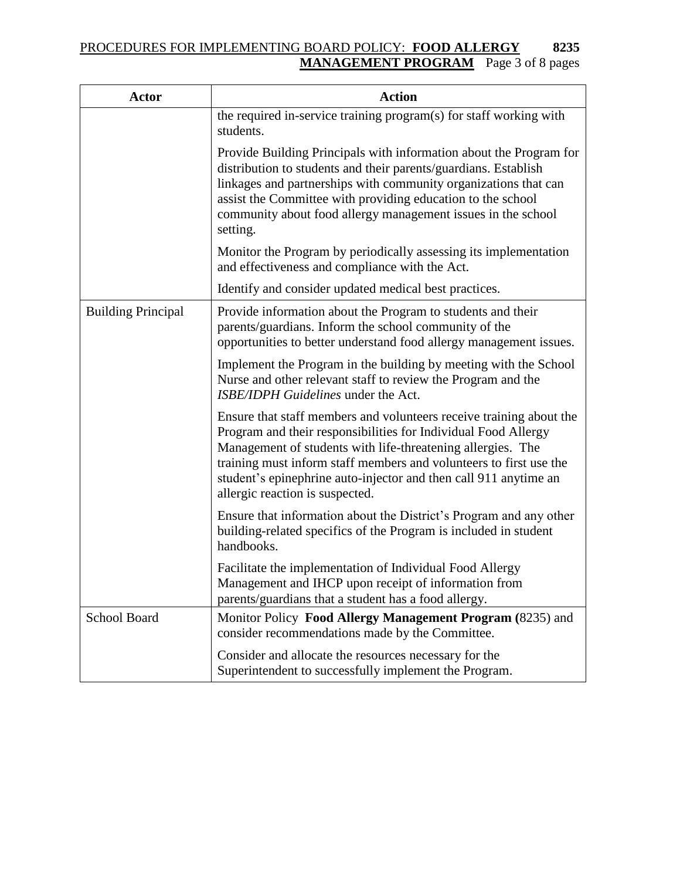# PROCEDURES FOR IMPLEMENTING BOARD POLICY: **FOOD ALLERGY 8235 MANAGEMENT PROGRAM** Page 3 of 8 pages

| Actor                     | <b>Action</b>                                                                                                                                                                                                                                                                                                                                                                     |
|---------------------------|-----------------------------------------------------------------------------------------------------------------------------------------------------------------------------------------------------------------------------------------------------------------------------------------------------------------------------------------------------------------------------------|
|                           | the required in-service training program(s) for staff working with<br>students.                                                                                                                                                                                                                                                                                                   |
|                           | Provide Building Principals with information about the Program for<br>distribution to students and their parents/guardians. Establish<br>linkages and partnerships with community organizations that can<br>assist the Committee with providing education to the school<br>community about food allergy management issues in the school<br>setting.                               |
|                           | Monitor the Program by periodically assessing its implementation<br>and effectiveness and compliance with the Act.                                                                                                                                                                                                                                                                |
|                           | Identify and consider updated medical best practices.                                                                                                                                                                                                                                                                                                                             |
| <b>Building Principal</b> | Provide information about the Program to students and their<br>parents/guardians. Inform the school community of the<br>opportunities to better understand food allergy management issues.                                                                                                                                                                                        |
|                           | Implement the Program in the building by meeting with the School<br>Nurse and other relevant staff to review the Program and the<br>ISBE/IDPH Guidelines under the Act.                                                                                                                                                                                                           |
|                           | Ensure that staff members and volunteers receive training about the<br>Program and their responsibilities for Individual Food Allergy<br>Management of students with life-threatening allergies. The<br>training must inform staff members and volunteers to first use the<br>student's epinephrine auto-injector and then call 911 anytime an<br>allergic reaction is suspected. |
|                           | Ensure that information about the District's Program and any other<br>building-related specifics of the Program is included in student<br>handbooks.                                                                                                                                                                                                                              |
|                           | Facilitate the implementation of Individual Food Allergy<br>Management and IHCP upon receipt of information from<br>parents/guardians that a student has a food allergy.                                                                                                                                                                                                          |
| School Board              | Monitor Policy Food Allergy Management Program (8235) and<br>consider recommendations made by the Committee.                                                                                                                                                                                                                                                                      |
|                           | Consider and allocate the resources necessary for the<br>Superintendent to successfully implement the Program.                                                                                                                                                                                                                                                                    |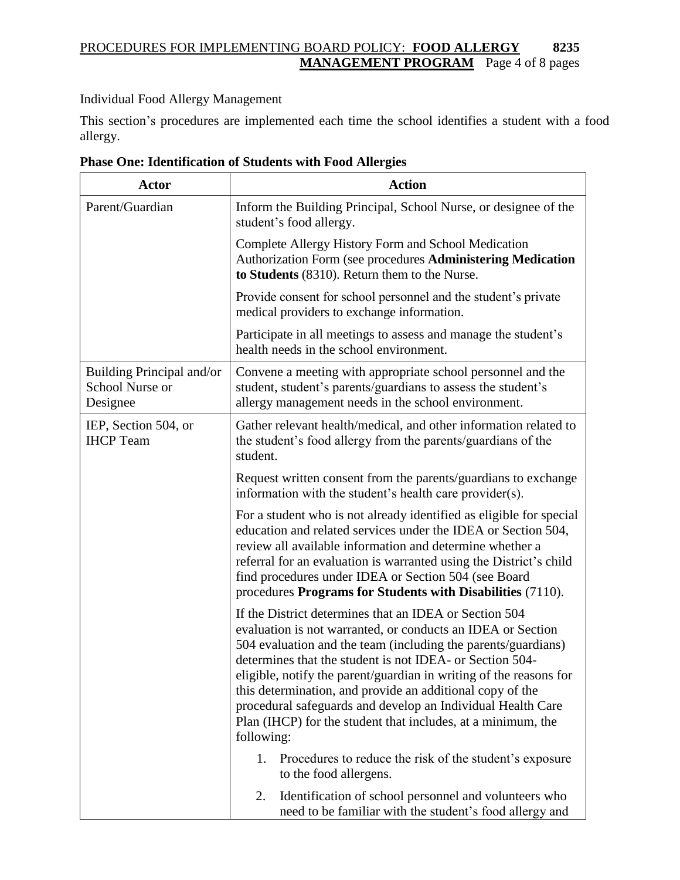# PROCEDURES FOR IMPLEMENTING BOARD POLICY: **FOOD ALLERGY 8235 MANAGEMENT PROGRAM** Page 4 of 8 pages

Individual Food Allergy Management

This section's procedures are implemented each time the school identifies a student with a food allergy.

| <b>Actor</b>                                             | <b>Action</b>                                                                                                                                                                                                                                                                                                                                                                                                                                                                                                                                                                                       |
|----------------------------------------------------------|-----------------------------------------------------------------------------------------------------------------------------------------------------------------------------------------------------------------------------------------------------------------------------------------------------------------------------------------------------------------------------------------------------------------------------------------------------------------------------------------------------------------------------------------------------------------------------------------------------|
| Parent/Guardian                                          | Inform the Building Principal, School Nurse, or designee of the<br>student's food allergy.                                                                                                                                                                                                                                                                                                                                                                                                                                                                                                          |
|                                                          | Complete Allergy History Form and School Medication<br>Authorization Form (see procedures Administering Medication<br>to Students (8310). Return them to the Nurse.                                                                                                                                                                                                                                                                                                                                                                                                                                 |
|                                                          | Provide consent for school personnel and the student's private<br>medical providers to exchange information.                                                                                                                                                                                                                                                                                                                                                                                                                                                                                        |
|                                                          | Participate in all meetings to assess and manage the student's<br>health needs in the school environment.                                                                                                                                                                                                                                                                                                                                                                                                                                                                                           |
| Building Principal and/or<br>School Nurse or<br>Designee | Convene a meeting with appropriate school personnel and the<br>student, student's parents/guardians to assess the student's<br>allergy management needs in the school environment.                                                                                                                                                                                                                                                                                                                                                                                                                  |
| IEP, Section 504, or<br><b>IHCP</b> Team                 | Gather relevant health/medical, and other information related to<br>the student's food allergy from the parents/guardians of the<br>student.                                                                                                                                                                                                                                                                                                                                                                                                                                                        |
|                                                          | Request written consent from the parents/guardians to exchange<br>information with the student's health care provider(s).                                                                                                                                                                                                                                                                                                                                                                                                                                                                           |
|                                                          | For a student who is not already identified as eligible for special<br>education and related services under the IDEA or Section 504,<br>review all available information and determine whether a<br>referral for an evaluation is warranted using the District's child<br>find procedures under IDEA or Section 504 (see Board<br>procedures Programs for Students with Disabilities (7110).                                                                                                                                                                                                        |
|                                                          | If the District determines that an IDEA or Section 504<br>evaluation is not warranted, or conducts an IDEA or Section<br>504 evaluation and the team (including the parents/guardians)<br>determines that the student is not IDEA- or Section 504-<br>eligible, notify the parent/guardian in writing of the reasons for<br>this determination, and provide an additional copy of the<br>procedural safeguards and develop an Individual Health Care<br>Plan (IHCP) for the student that includes, at a minimum, the<br>following:<br>1.<br>Procedures to reduce the risk of the student's exposure |
|                                                          | to the food allergens.                                                                                                                                                                                                                                                                                                                                                                                                                                                                                                                                                                              |
|                                                          | Identification of school personnel and volunteers who<br>2.<br>need to be familiar with the student's food allergy and                                                                                                                                                                                                                                                                                                                                                                                                                                                                              |

**Phase One: Identification of Students with Food Allergies**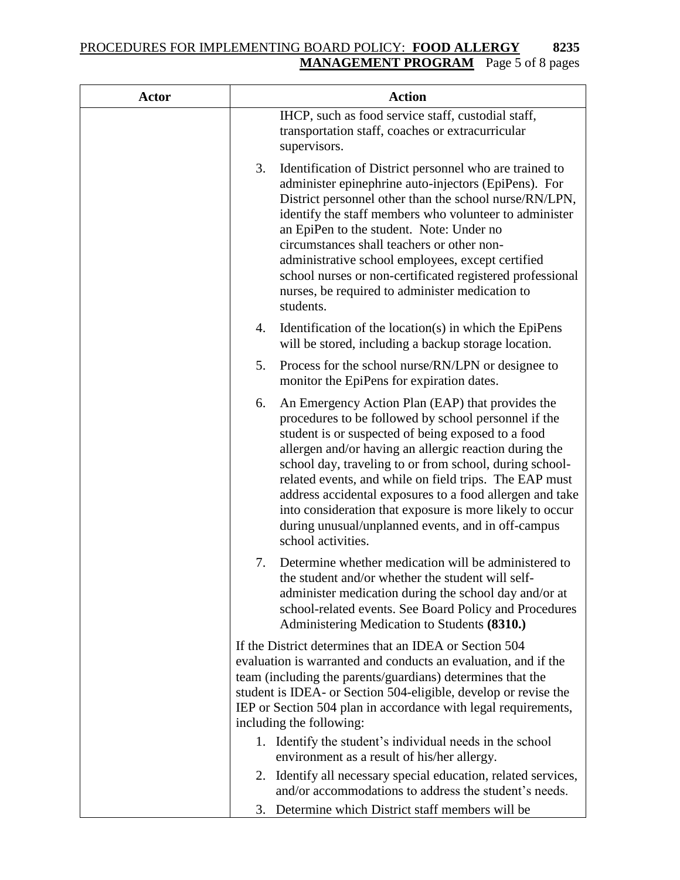## PROCEDURES FOR IMPLEMENTING BOARD POLICY: **FOOD ALLERGY 8235 MANAGEMENT PROGRAM** Page 5 of 8 pages

| <b>Actor</b> | <b>Action</b>                                                                                                                                                                                                                                                                                                                                                                                                                                                                                                                                           |
|--------------|---------------------------------------------------------------------------------------------------------------------------------------------------------------------------------------------------------------------------------------------------------------------------------------------------------------------------------------------------------------------------------------------------------------------------------------------------------------------------------------------------------------------------------------------------------|
|              | IHCP, such as food service staff, custodial staff,<br>transportation staff, coaches or extracurricular<br>supervisors.                                                                                                                                                                                                                                                                                                                                                                                                                                  |
|              | 3.<br>Identification of District personnel who are trained to<br>administer epinephrine auto-injectors (EpiPens). For<br>District personnel other than the school nurse/RN/LPN,<br>identify the staff members who volunteer to administer<br>an EpiPen to the student. Note: Under no<br>circumstances shall teachers or other non-<br>administrative school employees, except certified<br>school nurses or non-certificated registered professional<br>nurses, be required to administer medication to<br>students.                                   |
|              | Identification of the location(s) in which the EpiPens<br>4.<br>will be stored, including a backup storage location.                                                                                                                                                                                                                                                                                                                                                                                                                                    |
|              | 5.<br>Process for the school nurse/RN/LPN or designee to<br>monitor the EpiPens for expiration dates.                                                                                                                                                                                                                                                                                                                                                                                                                                                   |
|              | 6.<br>An Emergency Action Plan (EAP) that provides the<br>procedures to be followed by school personnel if the<br>student is or suspected of being exposed to a food<br>allergen and/or having an allergic reaction during the<br>school day, traveling to or from school, during school-<br>related events, and while on field trips. The EAP must<br>address accidental exposures to a food allergen and take<br>into consideration that exposure is more likely to occur<br>during unusual/unplanned events, and in off-campus<br>school activities. |
|              | 7.<br>Determine whether medication will be administered to<br>the student and/or whether the student will self-<br>administer medication during the school day and/or at<br>school-related events. See Board Policy and Procedures<br>Administering Medication to Students (8310.)                                                                                                                                                                                                                                                                      |
|              | If the District determines that an IDEA or Section 504<br>evaluation is warranted and conducts an evaluation, and if the<br>team (including the parents/guardians) determines that the<br>student is IDEA- or Section 504-eligible, develop or revise the<br>IEP or Section 504 plan in accordance with legal requirements,<br>including the following:                                                                                                                                                                                                 |
|              | 1. Identify the student's individual needs in the school<br>environment as a result of his/her allergy.                                                                                                                                                                                                                                                                                                                                                                                                                                                 |
|              | Identify all necessary special education, related services,<br>2.<br>and/or accommodations to address the student's needs.                                                                                                                                                                                                                                                                                                                                                                                                                              |
|              | Determine which District staff members will be<br>3.                                                                                                                                                                                                                                                                                                                                                                                                                                                                                                    |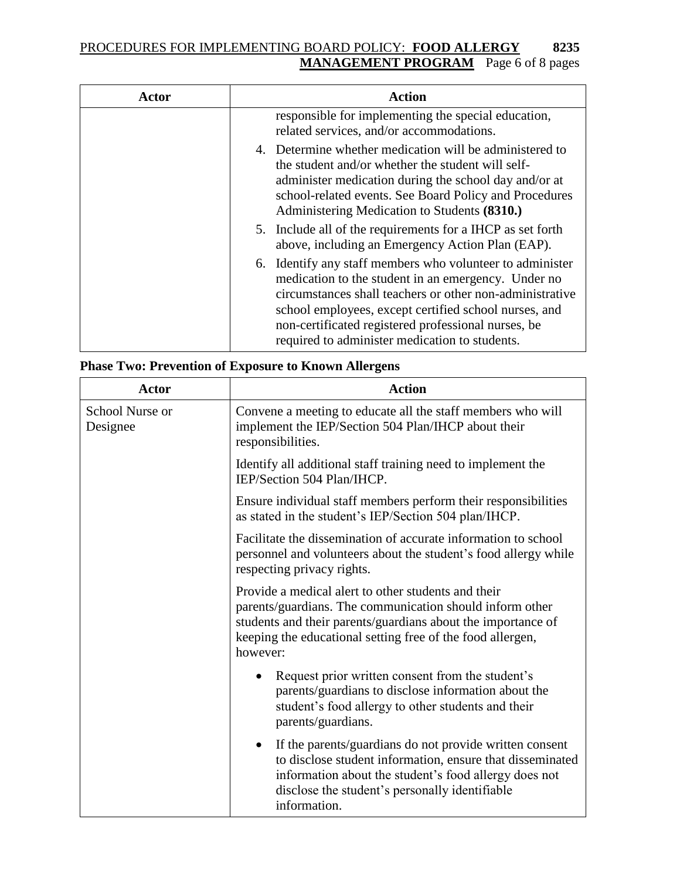## PROCEDURES FOR IMPLEMENTING BOARD POLICY: **FOOD ALLERGY 8235 MANAGEMENT PROGRAM** Page 6 of 8 pages

| Actor | Action                                                                                                                                                                                                                                                                                                                                         |
|-------|------------------------------------------------------------------------------------------------------------------------------------------------------------------------------------------------------------------------------------------------------------------------------------------------------------------------------------------------|
|       | responsible for implementing the special education,<br>related services, and/or accommodations.                                                                                                                                                                                                                                                |
|       | 4. Determine whether medication will be administered to<br>the student and/or whether the student will self-<br>administer medication during the school day and/or at<br>school-related events. See Board Policy and Procedures<br>Administering Medication to Students (8310.)                                                                |
|       | 5. Include all of the requirements for a IHCP as set forth<br>above, including an Emergency Action Plan (EAP).                                                                                                                                                                                                                                 |
|       | 6. Identify any staff members who volunteer to administer<br>medication to the student in an emergency. Under no<br>circumstances shall teachers or other non-administrative<br>school employees, except certified school nurses, and<br>non-certificated registered professional nurses, be<br>required to administer medication to students. |

## **Phase Two: Prevention of Exposure to Known Allergens**

| <b>Actor</b>                | <b>Action</b>                                                                                                                                                                                                                                                |
|-----------------------------|--------------------------------------------------------------------------------------------------------------------------------------------------------------------------------------------------------------------------------------------------------------|
| School Nurse or<br>Designee | Convene a meeting to educate all the staff members who will<br>implement the IEP/Section 504 Plan/IHCP about their<br>responsibilities.                                                                                                                      |
|                             | Identify all additional staff training need to implement the<br>IEP/Section 504 Plan/IHCP.                                                                                                                                                                   |
|                             | Ensure individual staff members perform their responsibilities<br>as stated in the student's IEP/Section 504 plan/IHCP.                                                                                                                                      |
|                             | Facilitate the dissemination of accurate information to school<br>personnel and volunteers about the student's food allergy while<br>respecting privacy rights.                                                                                              |
|                             | Provide a medical alert to other students and their<br>parents/guardians. The communication should inform other<br>students and their parents/guardians about the importance of<br>keeping the educational setting free of the food allergen,<br>however:    |
|                             | Request prior written consent from the student's<br>$\bullet$<br>parents/guardians to disclose information about the<br>student's food allergy to other students and their<br>parents/guardians.                                                             |
|                             | If the parents/guardians do not provide written consent<br>$\bullet$<br>to disclose student information, ensure that disseminated<br>information about the student's food allergy does not<br>disclose the student's personally identifiable<br>information. |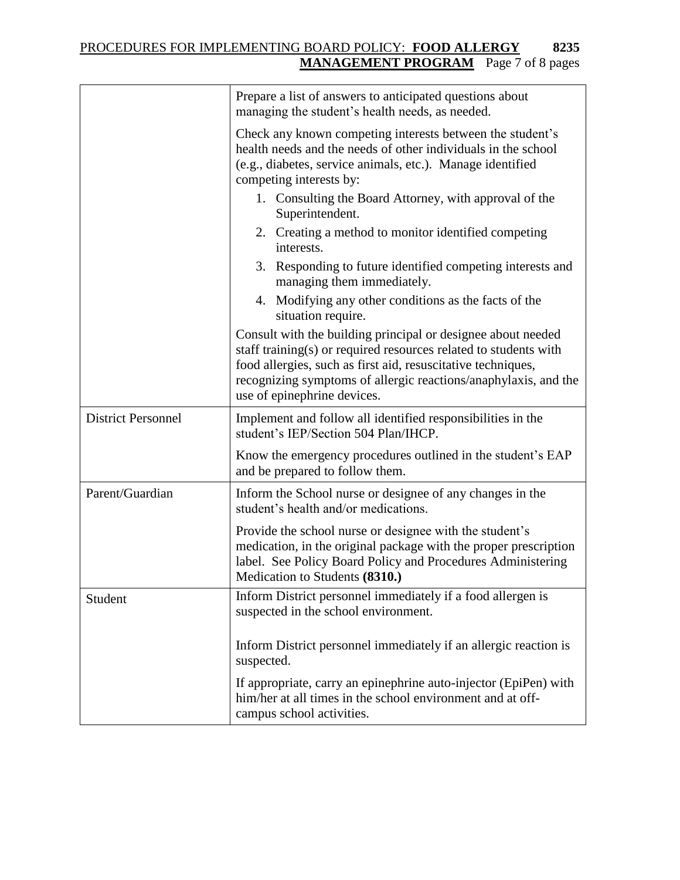# PROCEDURES FOR IMPLEMENTING BOARD POLICY: **FOOD ALLERGY 8235 MANAGEMENT PROGRAM** Page 7 of 8 pages

|                           | Prepare a list of answers to anticipated questions about<br>managing the student's health needs, as needed.                                                                                                                                                                                        |
|---------------------------|----------------------------------------------------------------------------------------------------------------------------------------------------------------------------------------------------------------------------------------------------------------------------------------------------|
|                           | Check any known competing interests between the student's<br>health needs and the needs of other individuals in the school<br>(e.g., diabetes, service animals, etc.). Manage identified<br>competing interests by:                                                                                |
|                           | 1. Consulting the Board Attorney, with approval of the<br>Superintendent.                                                                                                                                                                                                                          |
|                           | 2. Creating a method to monitor identified competing<br>interests.                                                                                                                                                                                                                                 |
|                           | 3. Responding to future identified competing interests and<br>managing them immediately.                                                                                                                                                                                                           |
|                           | 4. Modifying any other conditions as the facts of the<br>situation require.                                                                                                                                                                                                                        |
|                           | Consult with the building principal or designee about needed<br>staff training(s) or required resources related to students with<br>food allergies, such as first aid, resuscitative techniques,<br>recognizing symptoms of allergic reactions/anaphylaxis, and the<br>use of epinephrine devices. |
| <b>District Personnel</b> | Implement and follow all identified responsibilities in the<br>student's IEP/Section 504 Plan/IHCP.                                                                                                                                                                                                |
|                           | Know the emergency procedures outlined in the student's EAP<br>and be prepared to follow them.                                                                                                                                                                                                     |
| Parent/Guardian           | Inform the School nurse or designee of any changes in the<br>student's health and/or medications.                                                                                                                                                                                                  |
|                           | Provide the school nurse or designee with the student's<br>medication, in the original package with the proper prescription<br>label. See Policy Board Policy and Procedures Administering<br>Medication to Students (8310.)                                                                       |
| Student                   | Inform District personnel immediately if a food allergen is<br>suspected in the school environment.                                                                                                                                                                                                |
|                           | Inform District personnel immediately if an allergic reaction is<br>suspected.                                                                                                                                                                                                                     |
|                           | If appropriate, carry an epinephrine auto-injector (EpiPen) with<br>him/her at all times in the school environment and at off-<br>campus school activities.                                                                                                                                        |